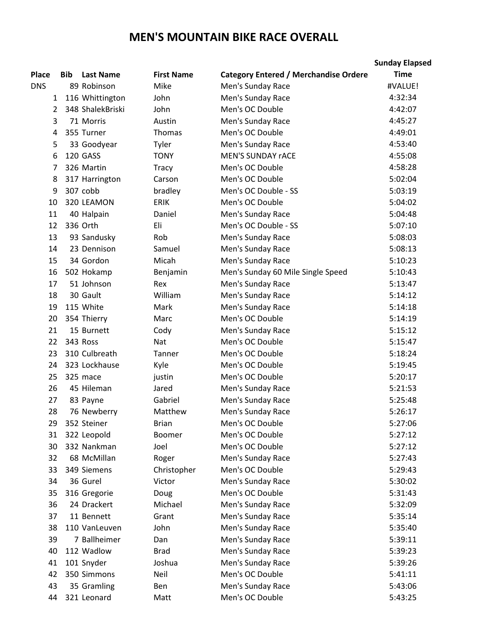## **MEN'S MOUNTAIN BIKE RACE OVERALL**

|                |     |                  |                   |                                              | <b>Sunday Elapsed</b> |
|----------------|-----|------------------|-------------------|----------------------------------------------|-----------------------|
| <b>Place</b>   | Bib | <b>Last Name</b> | <b>First Name</b> | <b>Category Entered / Merchandise Ordere</b> | <b>Time</b>           |
| <b>DNS</b>     |     | 89 Robinson      | Mike              | Men's Sunday Race                            | #VALUE!               |
| 1              |     | 116 Whittington  | John              | Men's Sunday Race                            | 4:32:34               |
| $\overline{2}$ |     | 348 ShalekBriski | John              | Men's OC Double                              | 4:42:07               |
| 3              |     | 71 Morris        | Austin            | Men's Sunday Race                            | 4:45:27               |
| 4              |     | 355 Turner       | Thomas            | Men's OC Double                              | 4:49:01               |
| 5              |     | 33 Goodyear      | Tyler             | Men's Sunday Race                            | 4:53:40               |
| 6              |     | 120 GASS         | <b>TONY</b>       | <b>MEN'S SUNDAY rACE</b>                     | 4:55:08               |
| 7              |     | 326 Martin       | <b>Tracy</b>      | Men's OC Double                              | 4:58:28               |
| 8              |     | 317 Harrington   | Carson            | Men's OC Double                              | 5:02:04               |
| 9              |     | 307 cobb         | bradley           | Men's OC Double - SS                         | 5:03:19               |
| 10             |     | 320 LEAMON       | <b>ERIK</b>       | Men's OC Double                              | 5:04:02               |
| 11             |     | 40 Halpain       | Daniel            | Men's Sunday Race                            | 5:04:48               |
| 12             |     | 336 Orth         | Eli               | Men's OC Double - SS                         | 5:07:10               |
| 13             |     | 93 Sandusky      | Rob               | Men's Sunday Race                            | 5:08:03               |
| 14             |     | 23 Dennison      | Samuel            | Men's Sunday Race                            | 5:08:13               |
| 15             |     | 34 Gordon        | Micah             | Men's Sunday Race                            | 5:10:23               |
| 16             |     | 502 Hokamp       | Benjamin          | Men's Sunday 60 Mile Single Speed            | 5:10:43               |
| 17             |     | 51 Johnson       | Rex               | Men's Sunday Race                            | 5:13:47               |
| 18             |     | 30 Gault         | William           | Men's Sunday Race                            | 5:14:12               |
| 19             |     | 115 White        | Mark              | Men's Sunday Race                            | 5:14:18               |
| 20             |     | 354 Thierry      | Marc              | Men's OC Double                              | 5:14:19               |
| 21             |     | 15 Burnett       | Cody              | Men's Sunday Race                            | 5:15:12               |
| 22             |     | 343 Ross         | Nat               | Men's OC Double                              | 5:15:47               |
| 23             |     | 310 Culbreath    | Tanner            | Men's OC Double                              | 5:18:24               |
| 24             |     | 323 Lockhause    | Kyle              | Men's OC Double                              | 5:19:45               |
| 25             |     | 325 mace         | justin            | Men's OC Double                              | 5:20:17               |
| 26             |     | 45 Hileman       | Jared             | Men's Sunday Race                            | 5:21:53               |
| 27             |     | 83 Payne         | Gabriel           | Men's Sunday Race                            | 5:25:48               |
| 28             |     | 76 Newberry      | Matthew           | Men's Sunday Race                            | 5:26:17               |
| 29             |     | 352 Steiner      | <b>Brian</b>      | Men's OC Double                              | 5:27:06               |
| 31             |     | 322 Leopold      | Boomer            | Men's OC Double                              | 5:27:12               |
| 30             |     | 332 Nankman      | Joel              | Men's OC Double                              | 5:27:12               |
| 32             |     | 68 McMillan      | Roger             | Men's Sunday Race                            | 5:27:43               |
| 33             |     | 349 Siemens      | Christopher       | Men's OC Double                              | 5:29:43               |
| 34             |     | 36 Gurel         | Victor            | Men's Sunday Race                            | 5:30:02               |
| 35             |     | 316 Gregorie     | Doug              | Men's OC Double                              | 5:31:43               |
| 36             |     | 24 Drackert      | Michael           | Men's Sunday Race                            | 5:32:09               |
| 37             |     | 11 Bennett       | Grant             | Men's Sunday Race                            | 5:35:14               |
| 38             |     | 110 VanLeuven    | John              | Men's Sunday Race                            | 5:35:40               |
| 39             |     | 7 Ballheimer     | Dan               | Men's Sunday Race                            | 5:39:11               |
| 40             |     | 112 Wadlow       | <b>Brad</b>       | Men's Sunday Race                            | 5:39:23               |
| 41             |     | 101 Snyder       | Joshua            | Men's Sunday Race                            | 5:39:26               |
| 42             |     | 350 Simmons      | Neil              | Men's OC Double                              | 5:41:11               |
| 43             |     | 35 Gramling      | Ben               | Men's Sunday Race                            | 5:43:06               |
| 44             |     | 321 Leonard      | Matt              | Men's OC Double                              | 5:43:25               |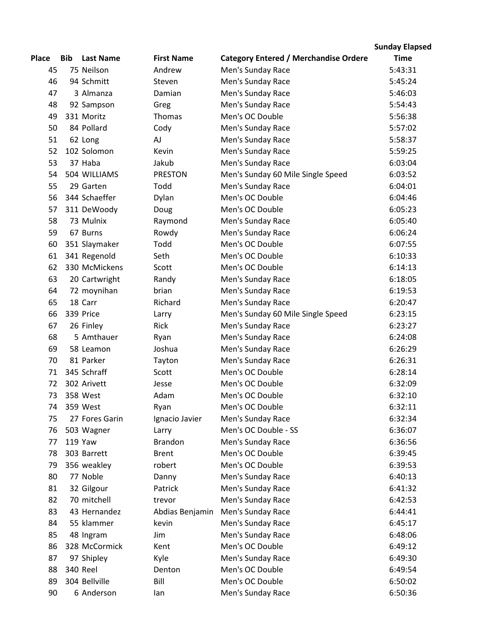|              |            |                  |                   |                                              | <b>Sunday Elapsed</b> |
|--------------|------------|------------------|-------------------|----------------------------------------------|-----------------------|
| <b>Place</b> | <b>Bib</b> | <b>Last Name</b> | <b>First Name</b> | <b>Category Entered / Merchandise Ordere</b> | <b>Time</b>           |
| 45           |            | 75 Neilson       | Andrew            | Men's Sunday Race                            | 5:43:31               |
| 46           |            | 94 Schmitt       | Steven            | Men's Sunday Race                            | 5:45:24               |
| 47           |            | 3 Almanza        | Damian            | Men's Sunday Race                            | 5:46:03               |
| 48           |            | 92 Sampson       | Greg              | Men's Sunday Race                            | 5:54:43               |
| 49           |            | 331 Moritz       | Thomas            | Men's OC Double                              | 5:56:38               |
| 50           |            | 84 Pollard       | Cody              | Men's Sunday Race                            | 5:57:02               |
| 51           |            | 62 Long          | AJ                | Men's Sunday Race                            | 5:58:37               |
| 52           |            | 102 Solomon      | Kevin             | Men's Sunday Race                            | 5:59:25               |
| 53           |            | 37 Haba          | Jakub             | Men's Sunday Race                            | 6:03:04               |
| 54           |            | 504 WILLIAMS     | <b>PRESTON</b>    | Men's Sunday 60 Mile Single Speed            | 6:03:52               |
| 55           |            | 29 Garten        | Todd              | Men's Sunday Race                            | 6:04:01               |
| 56           |            | 344 Schaeffer    | Dylan             | Men's OC Double                              | 6:04:46               |
| 57           |            | 311 DeWoody      | Doug              | Men's OC Double                              | 6:05:23               |
| 58           |            | 73 Mulnix        | Raymond           | Men's Sunday Race                            | 6:05:40               |
| 59           |            | 67 Burns         | Rowdy             | Men's Sunday Race                            | 6:06:24               |
| 60           |            | 351 Slaymaker    | Todd              | Men's OC Double                              | 6:07:55               |
| 61           |            | 341 Regenold     | Seth              | Men's OC Double                              | 6:10:33               |
| 62           |            | 330 McMickens    | Scott             | Men's OC Double                              | 6:14:13               |
| 63           |            | 20 Cartwright    | Randy             | Men's Sunday Race                            | 6:18:05               |
| 64           |            | 72 moynihan      | brian             | Men's Sunday Race                            | 6:19:53               |
| 65           |            | 18 Carr          | Richard           | Men's Sunday Race                            | 6:20:47               |
| 66           |            | 339 Price        | Larry             | Men's Sunday 60 Mile Single Speed            | 6:23:15               |
| 67           |            | 26 Finley        | <b>Rick</b>       | Men's Sunday Race                            | 6:23:27               |
| 68           |            | 5 Amthauer       | Ryan              | Men's Sunday Race                            | 6:24:08               |
| 69           |            | 58 Leamon        | Joshua            | Men's Sunday Race                            | 6:26:29               |
| 70           |            | 81 Parker        | Tayton            | Men's Sunday Race                            | 6:26:31               |
| 71           |            | 345 Schraff      | Scott             | Men's OC Double                              | 6:28:14               |
| 72           |            | 302 Arivett      | Jesse             | Men's OC Double                              | 6:32:09               |
| 73           |            | 358 West         | Adam              | Men's OC Double                              | 6:32:10               |
| 74           |            | 359 West         | Ryan              | Men's OC Double                              | 6:32:11               |
| 75           |            | 27 Fores Garin   | Ignacio Javier    | Men's Sunday Race                            | 6:32:34               |
| 76           |            | 503 Wagner       | Larry             | Men's OC Double - SS                         | 6:36:07               |
| 77           |            | <b>119 Yaw</b>   | <b>Brandon</b>    | Men's Sunday Race                            | 6:36:56               |
| 78           |            | 303 Barrett      | <b>Brent</b>      | Men's OC Double                              | 6:39:45               |
| 79           |            | 356 weakley      | robert            | Men's OC Double                              | 6:39:53               |
| 80           |            | 77 Noble         | Danny             | Men's Sunday Race                            | 6:40:13               |
| 81           |            | 32 Gilgour       | Patrick           | Men's Sunday Race                            | 6:41:32               |
| 82           |            | 70 mitchell      | trevor            | Men's Sunday Race                            | 6:42:53               |
| 83           |            | 43 Hernandez     | Abdias Benjamin   | Men's Sunday Race                            | 6:44:41               |
| 84           |            | 55 klammer       | kevin             | Men's Sunday Race                            | 6:45:17               |
| 85           |            | 48 Ingram        | Jim               | Men's Sunday Race                            | 6:48:06               |
| 86           |            | 328 McCormick    | Kent              | Men's OC Double                              | 6:49:12               |
| 87           |            | 97 Shipley       | Kyle              | Men's Sunday Race                            | 6:49:30               |
| 88           |            | <b>340 Reel</b>  | Denton            | Men's OC Double                              | 6:49:54               |
| 89           |            | 304 Bellville    | Bill              | Men's OC Double                              | 6:50:02               |
| 90           |            | 6 Anderson       | lan               | Men's Sunday Race                            | 6:50:36               |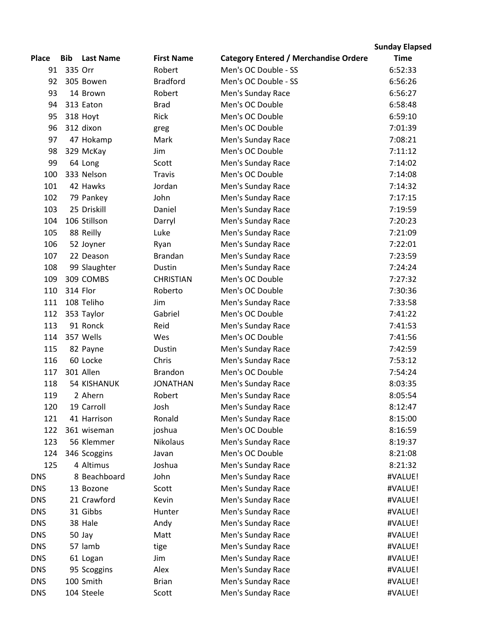|              |            |                    |                   |                                              | <b>Sunday Elapsed</b> |
|--------------|------------|--------------------|-------------------|----------------------------------------------|-----------------------|
| <b>Place</b> | <b>Bib</b> | <b>Last Name</b>   | <b>First Name</b> | <b>Category Entered / Merchandise Ordere</b> | <b>Time</b>           |
| 91           | 335 Orr    |                    | Robert            | Men's OC Double - SS                         | 6:52:33               |
| 92           |            | 305 Bowen          | <b>Bradford</b>   | Men's OC Double - SS                         | 6:56:26               |
| 93           |            | 14 Brown           | Robert            | Men's Sunday Race                            | 6:56:27               |
| 94           |            | 313 Eaton          | <b>Brad</b>       | Men's OC Double                              | 6:58:48               |
| 95           |            | 318 Hoyt           | <b>Rick</b>       | Men's OC Double                              | 6:59:10               |
| 96           |            | 312 dixon          | greg              | Men's OC Double                              | 7:01:39               |
| 97           |            | 47 Hokamp          | Mark              | Men's Sunday Race                            | 7:08:21               |
| 98           |            | 329 McKay          | Jim               | Men's OC Double                              | 7:11:12               |
| 99           |            | 64 Long            | Scott             | Men's Sunday Race                            | 7:14:02               |
| 100          |            | 333 Nelson         | <b>Travis</b>     | Men's OC Double                              | 7:14:08               |
| 101          |            | 42 Hawks           | Jordan            | Men's Sunday Race                            | 7:14:32               |
| 102          |            | 79 Pankey          | John              | Men's Sunday Race                            | 7:17:15               |
| 103          |            | 25 Driskill        | Daniel            | Men's Sunday Race                            | 7:19:59               |
| 104          |            | 106 Stillson       | Darryl            | Men's Sunday Race                            | 7:20:23               |
| 105          |            | 88 Reilly          | Luke              | Men's Sunday Race                            | 7:21:09               |
| 106          |            | 52 Joyner          | Ryan              | Men's Sunday Race                            | 7:22:01               |
| 107          |            | 22 Deason          | <b>Brandan</b>    | Men's Sunday Race                            | 7:23:59               |
| 108          |            | 99 Slaughter       | Dustin            | Men's Sunday Race                            | 7:24:24               |
| 109          |            | 309 COMBS          | <b>CHRISTIAN</b>  | Men's OC Double                              | 7:27:32               |
| 110          |            | 314 Flor           | Roberto           | Men's OC Double                              | 7:30:36               |
| 111          |            | 108 Teliho         | Jim               | Men's Sunday Race                            | 7:33:58               |
| 112          |            | 353 Taylor         | Gabriel           | Men's OC Double                              | 7:41:22               |
| 113          |            | 91 Ronck           | Reid              | Men's Sunday Race                            | 7:41:53               |
| 114          |            | 357 Wells          | Wes               | Men's OC Double                              | 7:41:56               |
| 115          |            | 82 Payne           | Dustin            | Men's Sunday Race                            | 7:42:59               |
| 116          |            | 60 Locke           | Chris             | Men's Sunday Race                            | 7:53:12               |
| 117          |            | 301 Allen          | <b>Brandon</b>    | Men's OC Double                              | 7:54:24               |
| 118          |            | <b>54 KISHANUK</b> | <b>JONATHAN</b>   | Men's Sunday Race                            | 8:03:35               |
| 119          |            | 2 Ahern            | Robert            | Men's Sunday Race                            | 8:05:54               |
| 120          |            | 19 Carroll         | Josh              | Men's Sunday Race                            | 8:12:47               |
| 121          |            | 41 Harrison        | Ronald            | Men's Sunday Race                            | 8:15:00               |
| 122          |            | 361 wiseman        | joshua            | Men's OC Double                              | 8:16:59               |
| 123          |            | 56 Klemmer         | <b>Nikolaus</b>   | Men's Sunday Race                            | 8:19:37               |
| 124          |            | 346 Scoggins       | Javan             | Men's OC Double                              | 8:21:08               |
| 125          |            | 4 Altimus          | Joshua            | Men's Sunday Race                            | 8:21:32               |
| <b>DNS</b>   |            | 8 Beachboard       | John              | Men's Sunday Race                            | #VALUE!               |
| <b>DNS</b>   |            | 13 Bozone          | Scott             | Men's Sunday Race                            | #VALUE!               |
| <b>DNS</b>   |            | 21 Crawford        | Kevin             | Men's Sunday Race                            | #VALUE!               |
| <b>DNS</b>   |            | 31 Gibbs           | Hunter            | Men's Sunday Race                            | #VALUE!               |
| <b>DNS</b>   |            | 38 Hale            | Andy              | Men's Sunday Race                            | #VALUE!               |
| <b>DNS</b>   |            | 50 Jay             | Matt              | Men's Sunday Race                            | #VALUE!               |
| <b>DNS</b>   |            | 57 lamb            | tige              | Men's Sunday Race                            | #VALUE!               |
| <b>DNS</b>   |            | 61 Logan           | Jim               | Men's Sunday Race                            | #VALUE!               |
| <b>DNS</b>   |            | 95 Scoggins        | Alex              | Men's Sunday Race                            | #VALUE!               |
| <b>DNS</b>   |            | 100 Smith          | <b>Brian</b>      | Men's Sunday Race                            | #VALUE!               |
| <b>DNS</b>   |            | 104 Steele         | Scott             | Men's Sunday Race                            | #VALUE!               |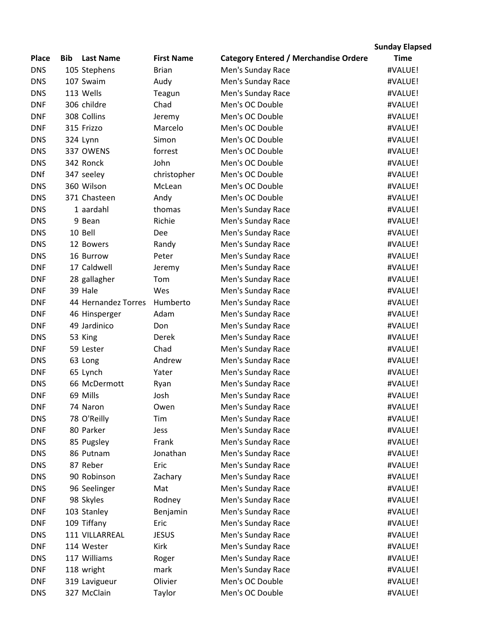|              |     |                     |                   |                                              | <b>Sunday Elapsed</b> |
|--------------|-----|---------------------|-------------------|----------------------------------------------|-----------------------|
| <b>Place</b> | Bib | <b>Last Name</b>    | <b>First Name</b> | <b>Category Entered / Merchandise Ordere</b> | <b>Time</b>           |
| <b>DNS</b>   |     | 105 Stephens        | <b>Brian</b>      | Men's Sunday Race                            | #VALUE!               |
| <b>DNS</b>   |     | 107 Swaim           | Audy              | Men's Sunday Race                            | #VALUE!               |
| <b>DNS</b>   |     | 113 Wells           | Teagun            | Men's Sunday Race                            | #VALUE!               |
| <b>DNF</b>   |     | 306 childre         | Chad              | Men's OC Double                              | #VALUE!               |
| <b>DNF</b>   |     | 308 Collins         | Jeremy            | Men's OC Double                              | #VALUE!               |
| <b>DNF</b>   |     | 315 Frizzo          | Marcelo           | Men's OC Double                              | #VALUE!               |
| <b>DNS</b>   |     | 324 Lynn            | Simon             | Men's OC Double                              | #VALUE!               |
| <b>DNS</b>   |     | 337 OWENS           | forrest           | Men's OC Double                              | #VALUE!               |
| <b>DNS</b>   |     | 342 Ronck           | John              | Men's OC Double                              | #VALUE!               |
| <b>DNf</b>   |     | 347 seeley          | christopher       | Men's OC Double                              | #VALUE!               |
| <b>DNS</b>   |     | 360 Wilson          | McLean            | Men's OC Double                              | #VALUE!               |
| <b>DNS</b>   |     | 371 Chasteen        | Andy              | Men's OC Double                              | #VALUE!               |
| <b>DNS</b>   |     | 1 aardahl           | thomas            | Men's Sunday Race                            | #VALUE!               |
| <b>DNS</b>   |     | 9 Bean              | Richie            | Men's Sunday Race                            | #VALUE!               |
| <b>DNS</b>   |     | 10 Bell             | Dee               | Men's Sunday Race                            | #VALUE!               |
| <b>DNS</b>   |     | 12 Bowers           | Randy             | Men's Sunday Race                            | #VALUE!               |
| <b>DNS</b>   |     | 16 Burrow           | Peter             | Men's Sunday Race                            | #VALUE!               |
| <b>DNF</b>   |     | 17 Caldwell         | Jeremy            | Men's Sunday Race                            | #VALUE!               |
| <b>DNF</b>   |     | 28 gallagher        | Tom               | Men's Sunday Race                            | #VALUE!               |
| <b>DNF</b>   |     | 39 Hale             | Wes               | Men's Sunday Race                            | #VALUE!               |
| <b>DNF</b>   |     | 44 Hernandez Torres | Humberto          | Men's Sunday Race                            | #VALUE!               |
| <b>DNF</b>   |     | 46 Hinsperger       | Adam              | Men's Sunday Race                            | #VALUE!               |
| <b>DNF</b>   |     | 49 Jardinico        | Don               | Men's Sunday Race                            | #VALUE!               |
| <b>DNS</b>   |     | 53 King             | Derek             | Men's Sunday Race                            | #VALUE!               |
| <b>DNF</b>   |     | 59 Lester           | Chad              | Men's Sunday Race                            | #VALUE!               |
| <b>DNS</b>   |     | 63 Long             | Andrew            | Men's Sunday Race                            | #VALUE!               |
| <b>DNF</b>   |     | 65 Lynch            | Yater             | Men's Sunday Race                            | #VALUE!               |
| <b>DNS</b>   |     | 66 McDermott        | Ryan              | Men's Sunday Race                            | #VALUE!               |
| <b>DNF</b>   |     | 69 Mills            | Josh              | Men's Sunday Race                            | #VALUE!               |
| <b>DNF</b>   |     | 74 Naron            | Owen              | Men's Sunday Race                            | #VALUE!               |
| <b>DNS</b>   |     | 78 O'Reilly         | Tim               | Men's Sunday Race                            | #VALUE!               |
| <b>DNF</b>   |     | 80 Parker           | Jess              | Men's Sunday Race                            | #VALUE!               |
| <b>DNS</b>   |     | 85 Pugsley          | Frank             | Men's Sunday Race                            | #VALUE!               |
| <b>DNS</b>   |     | 86 Putnam           | Jonathan          | Men's Sunday Race                            | #VALUE!               |
| <b>DNS</b>   |     | 87 Reber            | Eric              | Men's Sunday Race                            | #VALUE!               |
| <b>DNS</b>   |     | 90 Robinson         | Zachary           | Men's Sunday Race                            | #VALUE!               |
| <b>DNS</b>   |     | 96 Seelinger        | Mat               | Men's Sunday Race                            | #VALUE!               |
| <b>DNF</b>   |     | 98 Skyles           | Rodney            | Men's Sunday Race                            | #VALUE!               |
| <b>DNF</b>   |     | 103 Stanley         | Benjamin          | Men's Sunday Race                            | #VALUE!               |
| <b>DNF</b>   |     | 109 Tiffany         | Eric              | Men's Sunday Race                            | #VALUE!               |
| <b>DNS</b>   |     | 111 VILLARREAL      | <b>JESUS</b>      | Men's Sunday Race                            | #VALUE!               |
| <b>DNF</b>   |     | 114 Wester          | Kirk              | Men's Sunday Race                            | #VALUE!               |
| <b>DNS</b>   |     | 117 Williams        | Roger             | Men's Sunday Race                            | #VALUE!               |
| <b>DNF</b>   |     | 118 wright          | mark              | Men's Sunday Race                            | #VALUE!               |
| <b>DNF</b>   |     | 319 Lavigueur       | Olivier           | Men's OC Double                              | #VALUE!               |
| <b>DNS</b>   |     | 327 McClain         | Taylor            | Men's OC Double                              | #VALUE!               |